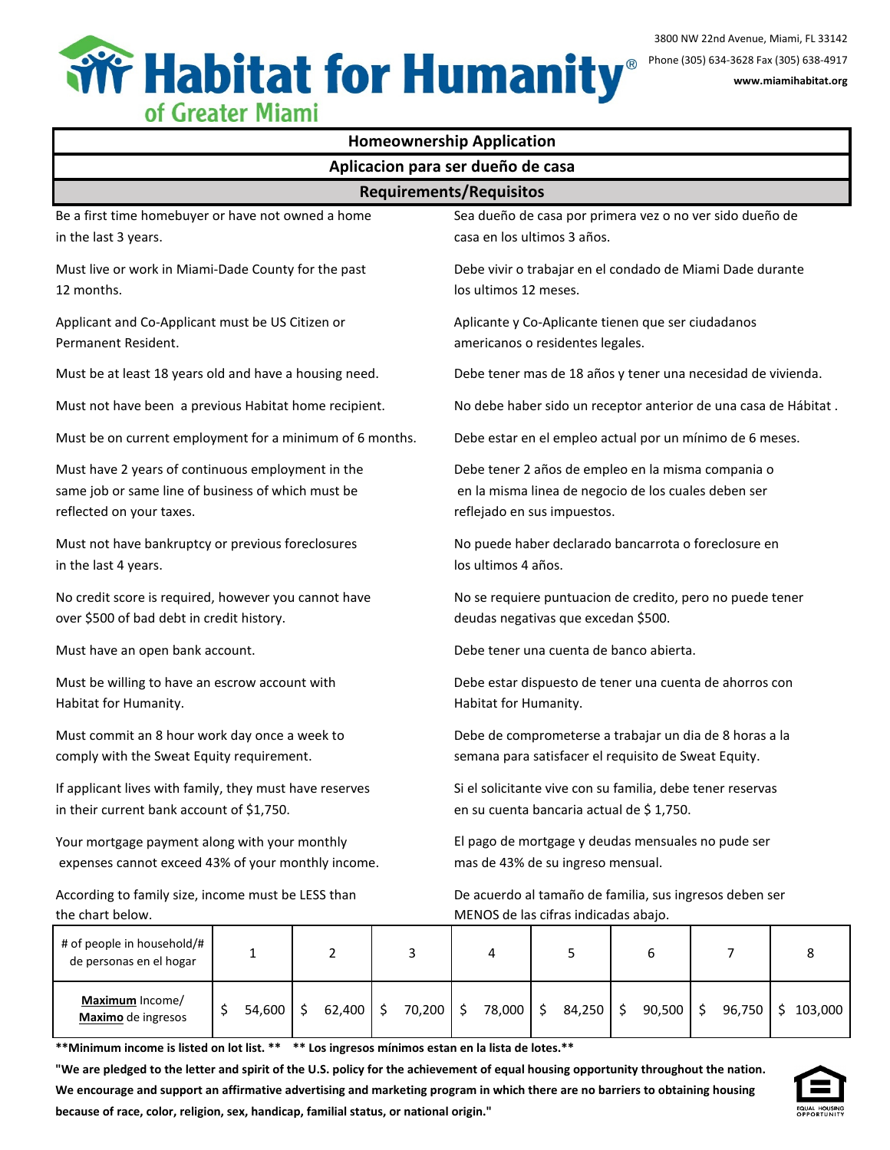

| ווומוזיו ואוכלוגי וט<br><b>Homeownership Application</b>                                                                            |                                                                                                        |                                                                                                                                           |                                                                                         |  |  |  |  |  |  |  |  |
|-------------------------------------------------------------------------------------------------------------------------------------|--------------------------------------------------------------------------------------------------------|-------------------------------------------------------------------------------------------------------------------------------------------|-----------------------------------------------------------------------------------------|--|--|--|--|--|--|--|--|
| Aplicacion para ser dueño de casa                                                                                                   |                                                                                                        |                                                                                                                                           |                                                                                         |  |  |  |  |  |  |  |  |
| <b>Requirements/Requisitos</b>                                                                                                      |                                                                                                        |                                                                                                                                           |                                                                                         |  |  |  |  |  |  |  |  |
| Be a first time homebuyer or have not owned a home<br>in the last 3 years.                                                          |                                                                                                        |                                                                                                                                           | Sea dueño de casa por primera vez o no ver sido dueño de<br>casa en los ultimos 3 años. |  |  |  |  |  |  |  |  |
| Must live or work in Miami-Dade County for the past<br>12 months.                                                                   |                                                                                                        |                                                                                                                                           | Debe vivir o trabajar en el condado de Miami Dade durante<br>los ultimos 12 meses.      |  |  |  |  |  |  |  |  |
| Applicant and Co-Applicant must be US Citizen or<br>Permanent Resident.                                                             |                                                                                                        |                                                                                                                                           | Aplicante y Co-Aplicante tienen que ser ciudadanos<br>americanos o residentes legales.  |  |  |  |  |  |  |  |  |
| Must be at least 18 years old and have a housing need.                                                                              |                                                                                                        |                                                                                                                                           | Debe tener mas de 18 años y tener una necesidad de vivienda.                            |  |  |  |  |  |  |  |  |
| Must not have been a previous Habitat home recipient.                                                                               |                                                                                                        | No debe haber sido un receptor anterior de una casa de Hábitat.                                                                           |                                                                                         |  |  |  |  |  |  |  |  |
| Must be on current employment for a minimum of 6 months.                                                                            |                                                                                                        | Debe estar en el empleo actual por un mínimo de 6 meses.                                                                                  |                                                                                         |  |  |  |  |  |  |  |  |
| Must have 2 years of continuous employment in the<br>same job or same line of business of which must be<br>reflected on your taxes. |                                                                                                        | Debe tener 2 años de empleo en la misma compania o<br>en la misma linea de negocio de los cuales deben ser<br>reflejado en sus impuestos. |                                                                                         |  |  |  |  |  |  |  |  |
| Must not have bankruptcy or previous foreclosures<br>in the last 4 years.                                                           |                                                                                                        | No puede haber declarado bancarrota o foreclosure en<br>los ultimos 4 años.                                                               |                                                                                         |  |  |  |  |  |  |  |  |
| No credit score is required, however you cannot have<br>over \$500 of bad debt in credit history.                                   |                                                                                                        | No se requiere puntuacion de credito, pero no puede tener<br>deudas negativas que excedan \$500.                                          |                                                                                         |  |  |  |  |  |  |  |  |
| Must have an open bank account.                                                                                                     |                                                                                                        | Debe tener una cuenta de banco abierta.                                                                                                   |                                                                                         |  |  |  |  |  |  |  |  |
| Must be willing to have an escrow account with<br>Habitat for Humanity.                                                             |                                                                                                        | Debe estar dispuesto de tener una cuenta de ahorros con<br>Habitat for Humanity.                                                          |                                                                                         |  |  |  |  |  |  |  |  |
| Must commit an 8 hour work day once a week to<br>comply with the Sweat Equity requirement.                                          |                                                                                                        | Debe de comprometerse a trabajar un dia de 8 horas a la<br>semana para satisfacer el requisito de Sweat Equity.                           |                                                                                         |  |  |  |  |  |  |  |  |
| If applicant lives with family, they must have reserves<br>in their current bank account of \$1,750.                                | Si el solicitante vive con su familia, debe tener reservas<br>en su cuenta bancaria actual de \$1,750. |                                                                                                                                           |                                                                                         |  |  |  |  |  |  |  |  |
| Your mortgage payment along with your monthly<br>expenses cannot exceed 43% of your monthly income.                                 |                                                                                                        | El pago de mortgage y deudas mensuales no pude ser<br>mas de 43% de su ingreso mensual.                                                   |                                                                                         |  |  |  |  |  |  |  |  |
| According to family size, income must be LESS than<br>the chart below.                                                              |                                                                                                        | De acuerdo al tamaño de familia, sus ingresos deben ser<br>MENOS de las cifras indicadas abajo.                                           |                                                                                         |  |  |  |  |  |  |  |  |
| # of people in household/#                                                                                                          |                                                                                                        |                                                                                                                                           |                                                                                         |  |  |  |  |  |  |  |  |

| # of people in household/#<br>de personas en el hogar |        |        |        |           |        |    |             |             |         |
|-------------------------------------------------------|--------|--------|--------|-----------|--------|----|-------------|-------------|---------|
| <b>Maximum</b> Income/<br>Maximo de ingresos          | 54,600 | 62,400 | 70,200 | 78,000 \$ | 84,250 | -S | $90,500$ \$ | $96,750$ \$ | 103,000 |

**\*\*Minimum income is listed on lot list. \*\* \*\* Los ingresos mínimos estan en la lista de lotes.\*\***

**"We are pledged to the letter and spirit of the U.S. policy for the achievement of equal housing opportunity throughout the nation. We encourage and support an affirmative advertising and marketing program in which there are no barriers to obtaining housing because of race, color, religion, sex, handicap, familial status, or national origin."**

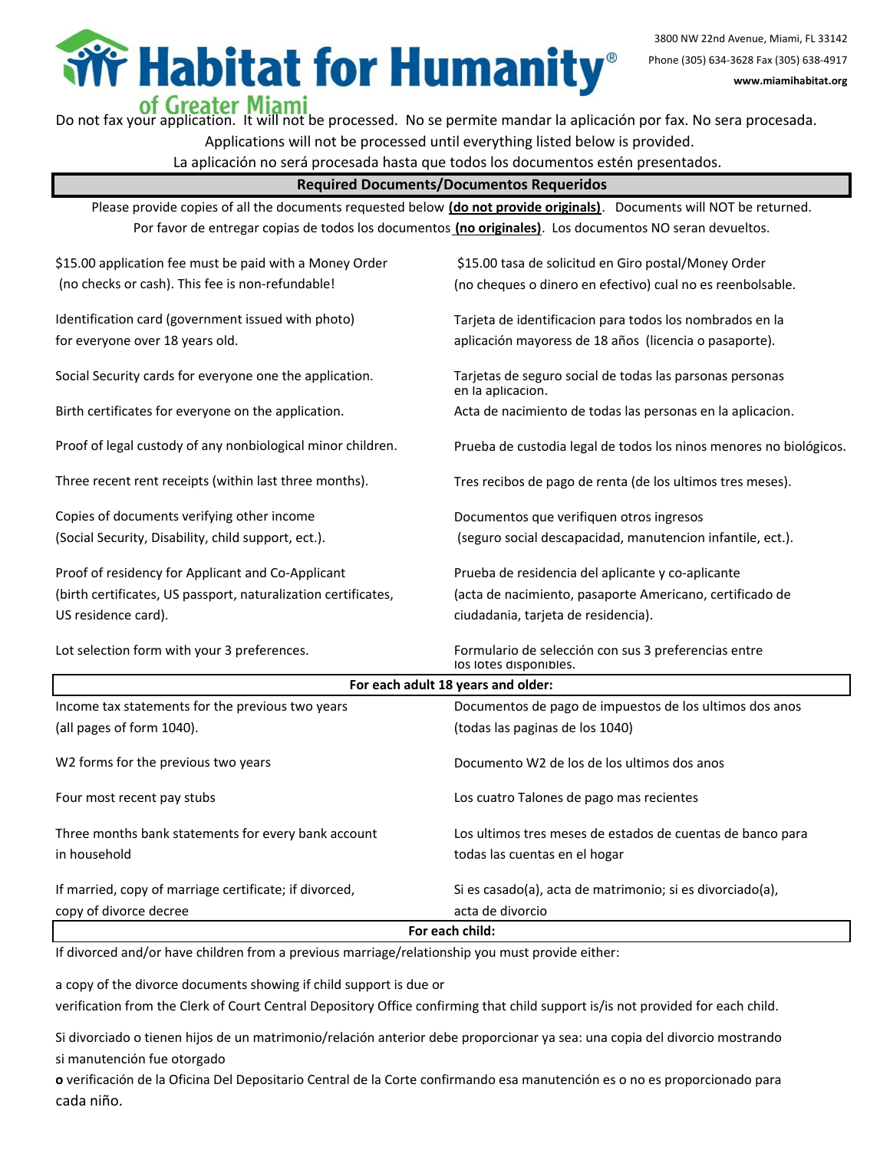**Field Humanity**®

3800 NW 22nd Avenue, Miami, FL 33142 Phone (305) 634-3628 Fax (305) 638-4917 **www.miamihabitat.org**

**Of Greater Miami**<br>Do not fax your application. It will not be processed. No se permite mandar la aplicación por fax. No sera procesada.

Applications will not be processed until everything listed below is provided.

La aplicación no será procesada hasta que todos los documentos estén presentados.

**Required Documents/Documentos Requeridos**

Please provide copies of all the documents requested below **(do not provide originals)**. Documents will NOT be returned. Por favor de entregar copias de todos los documentos **(no originales)**. Los documentos NO seran devueltos.

| \$15.00 application fee must be paid with a Money Order        | \$15.00 tasa de solicitud en Giro postal/Money Order                           |  |  |  |  |
|----------------------------------------------------------------|--------------------------------------------------------------------------------|--|--|--|--|
| (no checks or cash). This fee is non-refundable!               | (no cheques o dinero en efectivo) cual no es reenbolsable.                     |  |  |  |  |
|                                                                |                                                                                |  |  |  |  |
| Identification card (government issued with photo)             | Tarjeta de identificacion para todos los nombrados en la                       |  |  |  |  |
| for everyone over 18 years old.                                | aplicación mayoress de 18 años (licencia o pasaporte).                         |  |  |  |  |
| Social Security cards for everyone one the application.        | Tarjetas de seguro social de todas las parsonas personas<br>en la aplicacion.  |  |  |  |  |
| Birth certificates for everyone on the application.            | Acta de nacimiento de todas las personas en la aplicacion.                     |  |  |  |  |
| Proof of legal custody of any nonbiological minor children.    | Prueba de custodia legal de todos los ninos menores no biológicos.             |  |  |  |  |
| Three recent rent receipts (within last three months).         | Tres recibos de pago de renta (de los ultimos tres meses).                     |  |  |  |  |
| Copies of documents verifying other income                     | Documentos que verifiquen otros ingresos                                       |  |  |  |  |
| (Social Security, Disability, child support, ect.).            | (seguro social descapacidad, manutencion infantile, ect.).                     |  |  |  |  |
| Proof of residency for Applicant and Co-Applicant              | Prueba de residencia del aplicante y co-aplicante                              |  |  |  |  |
| (birth certificates, US passport, naturalization certificates, | (acta de nacimiento, pasaporte Americano, certificado de                       |  |  |  |  |
| US residence card).                                            | ciudadania, tarjeta de residencia).                                            |  |  |  |  |
| Lot selection form with your 3 preferences.                    | Formulario de selección con sus 3 preferencias entre<br>los lotes disponibles. |  |  |  |  |
|                                                                | For each adult 18 years and older:                                             |  |  |  |  |
| Income tax statements for the previous two years               | Documentos de pago de impuestos de los ultimos dos anos                        |  |  |  |  |
| (all pages of form 1040).                                      | (todas las paginas de los 1040)                                                |  |  |  |  |
| W2 forms for the previous two years                            | Documento W2 de los de los ultimos dos anos                                    |  |  |  |  |
| Four most recent pay stubs                                     | Los cuatro Talones de pago mas recientes                                       |  |  |  |  |
| Three months bank statements for every bank account            | Los ultimos tres meses de estados de cuentas de banco para                     |  |  |  |  |
| in household                                                   | todas las cuentas en el hogar                                                  |  |  |  |  |
| If married, copy of marriage certificate; if divorced,         | Si es casado(a), acta de matrimonio; si es divorciado(a),                      |  |  |  |  |
| copy of divorce decree                                         | acta de divorcio                                                               |  |  |  |  |
| For each child:                                                |                                                                                |  |  |  |  |

If divorced and/or have children from a previous marriage/relationship you must provide either:

a copy of the divorce documents showing if child support is due or

verification from the Clerk of Court Central Depository Office confirming that child support is/is not provided for each child.

Si divorciado o tienen hijos de un matrimonio/relación anterior debe proporcionar ya sea: una copia del divorcio mostrando si manutención fue otorgado

**o** verificación de la Oficina Del Depositario Central de la Corte confirmando esa manutención es o no es proporcionado para cada niño.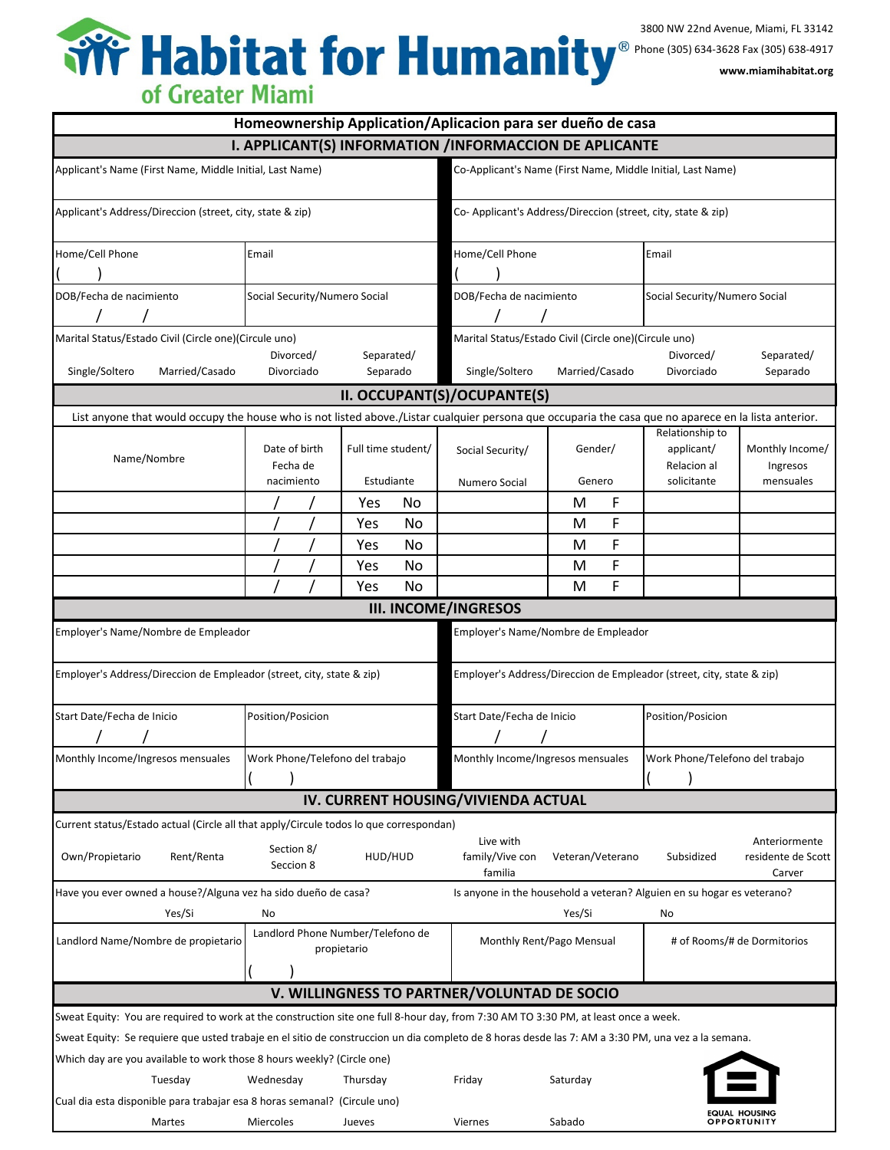| Homeownership Application/Aplicacion para ser dueño de casa                                                                                                                                                                  |                                                                                                                                                                                                                                      |                                                             |                                   |                                                                          |                |                                                             |                                                             |                              |  |  |  |
|------------------------------------------------------------------------------------------------------------------------------------------------------------------------------------------------------------------------------|--------------------------------------------------------------------------------------------------------------------------------------------------------------------------------------------------------------------------------------|-------------------------------------------------------------|-----------------------------------|--------------------------------------------------------------------------|----------------|-------------------------------------------------------------|-------------------------------------------------------------|------------------------------|--|--|--|
| I. APPLICANT(S) INFORMATION /INFORMACCION DE APLICANTE                                                                                                                                                                       |                                                                                                                                                                                                                                      |                                                             |                                   |                                                                          |                |                                                             |                                                             |                              |  |  |  |
| Applicant's Name (First Name, Middle Initial, Last Name)                                                                                                                                                                     |                                                                                                                                                                                                                                      | Co-Applicant's Name (First Name, Middle Initial, Last Name) |                                   |                                                                          |                |                                                             |                                                             |                              |  |  |  |
| Applicant's Address/Direccion (street, city, state & zip)                                                                                                                                                                    | Co- Applicant's Address/Direccion (street, city, state & zip)                                                                                                                                                                        |                                                             |                                   |                                                                          |                |                                                             |                                                             |                              |  |  |  |
| Home/Cell Phone                                                                                                                                                                                                              | Email                                                                                                                                                                                                                                |                                                             |                                   | Home/Cell Phone                                                          |                |                                                             | Email                                                       |                              |  |  |  |
| DOB/Fecha de nacimiento<br>Social Security/Numero Social                                                                                                                                                                     |                                                                                                                                                                                                                                      |                                                             |                                   | DOB/Fecha de nacimiento                                                  |                |                                                             | Social Security/Numero Social                               |                              |  |  |  |
| Marital Status/Estado Civil (Circle one)(Circule uno)<br>Single/Soltero<br>Married/Casado                                                                                                                                    | Separated/<br>Divorced/<br>Separado<br>Divorciado                                                                                                                                                                                    |                                                             |                                   | Marital Status/Estado Civil (Circle one) (Circule uno)<br>Single/Soltero | Married/Casado |                                                             | Divorced/<br>Divorciado                                     | Separated/<br>Separado       |  |  |  |
|                                                                                                                                                                                                                              |                                                                                                                                                                                                                                      |                                                             |                                   |                                                                          |                |                                                             |                                                             |                              |  |  |  |
|                                                                                                                                                                                                                              |                                                                                                                                                                                                                                      |                                                             |                                   | II. OCCUPANT(S)/OCUPANTE(S)                                              |                |                                                             |                                                             |                              |  |  |  |
| Name/Nombre                                                                                                                                                                                                                  | List anyone that would occupy the house who is not listed above./Listar cualquier persona que occuparia the casa que no aparece en la lista anterior.<br>Date of birth<br>Full time student/<br>Fecha de<br>Estudiante<br>nacimiento |                                                             | Social Security/<br>Numero Social | Gender/<br>Genero                                                        |                | Relationship to<br>applicant/<br>Relacion al<br>solicitante | Monthly Income/<br>Ingresos<br>mensuales                    |                              |  |  |  |
|                                                                                                                                                                                                                              |                                                                                                                                                                                                                                      | Yes                                                         | No                                |                                                                          | М              | F                                                           |                                                             |                              |  |  |  |
|                                                                                                                                                                                                                              |                                                                                                                                                                                                                                      | Yes                                                         | No.                               |                                                                          | M              | F                                                           |                                                             |                              |  |  |  |
|                                                                                                                                                                                                                              |                                                                                                                                                                                                                                      | Yes                                                         | No                                |                                                                          | M              | F                                                           |                                                             |                              |  |  |  |
|                                                                                                                                                                                                                              |                                                                                                                                                                                                                                      | Yes                                                         | No.                               |                                                                          | М              | F                                                           |                                                             |                              |  |  |  |
|                                                                                                                                                                                                                              |                                                                                                                                                                                                                                      | Yes                                                         | No                                |                                                                          | M              | F                                                           |                                                             |                              |  |  |  |
| <b>III. INCOME/INGRESOS</b>                                                                                                                                                                                                  |                                                                                                                                                                                                                                      |                                                             |                                   |                                                                          |                |                                                             |                                                             |                              |  |  |  |
| Employer's Name/Nombre de Empleador<br>Employer's Name/Nombre de Empleador                                                                                                                                                   |                                                                                                                                                                                                                                      |                                                             |                                   |                                                                          |                |                                                             |                                                             |                              |  |  |  |
| Employer's Address/Direccion de Empleador (street, city, state & zip)<br>Employer's Address/Direccion de Empleador (street, city, state & zip)                                                                               |                                                                                                                                                                                                                                      |                                                             |                                   |                                                                          |                |                                                             |                                                             |                              |  |  |  |
| Start Date/Fecha de Inicio                                                                                                                                                                                                   | Position/Posicion                                                                                                                                                                                                                    |                                                             |                                   | Start Date/Fecha de Inicio                                               |                |                                                             | Position/Posicion                                           |                              |  |  |  |
| Monthly Income/Ingresos mensuales                                                                                                                                                                                            | Work Phone/Telefono del trabaio                                                                                                                                                                                                      |                                                             |                                   | Monthly Income/Ingresos mensuales                                        |                |                                                             | Work Phone/Telefono del trabaio                             |                              |  |  |  |
|                                                                                                                                                                                                                              |                                                                                                                                                                                                                                      |                                                             |                                   | IV. CURRENT HOUSING/VIVIENDA ACTUAL                                      |                |                                                             |                                                             |                              |  |  |  |
| Current status/Estado actual (Circle all that apply/Circule todos lo que correspondan)                                                                                                                                       |                                                                                                                                                                                                                                      |                                                             |                                   |                                                                          |                |                                                             |                                                             |                              |  |  |  |
| Own/Propietario<br>Rent/Renta                                                                                                                                                                                                | Section 8/<br>Seccion 8                                                                                                                                                                                                              | HUD/HUD                                                     |                                   | Live with<br>Veteran/Veterano<br>family/Vive con<br>familia              |                |                                                             | Anteriormente<br>Subsidized<br>residente de Scott<br>Carver |                              |  |  |  |
| Have you ever owned a house?/Alguna vez ha sido dueño de casa?<br>Is anyone in the household a veteran? Alguien en su hogar es veterano?                                                                                     |                                                                                                                                                                                                                                      |                                                             |                                   |                                                                          |                |                                                             |                                                             |                              |  |  |  |
| Yes/Si                                                                                                                                                                                                                       | No                                                                                                                                                                                                                                   |                                                             |                                   |                                                                          | Yes/Si         |                                                             | No                                                          |                              |  |  |  |
| Landlord Phone Number/Telefono de<br>Landlord Name/Nombre de propietario<br>propietario                                                                                                                                      |                                                                                                                                                                                                                                      |                                                             |                                   | Monthly Rent/Pago Mensual<br># of Rooms/# de Dormitorios                 |                |                                                             |                                                             |                              |  |  |  |
| V. WILLINGNESS TO PARTNER/VOLUNTAD DE SOCIO                                                                                                                                                                                  |                                                                                                                                                                                                                                      |                                                             |                                   |                                                                          |                |                                                             |                                                             |                              |  |  |  |
|                                                                                                                                                                                                                              |                                                                                                                                                                                                                                      |                                                             |                                   |                                                                          |                |                                                             |                                                             |                              |  |  |  |
| Sweat Equity: You are required to work at the construction site one full 8-hour day, from 7:30 AM TO 3:30 PM, at least once a week.                                                                                          |                                                                                                                                                                                                                                      |                                                             |                                   |                                                                          |                |                                                             |                                                             |                              |  |  |  |
| Sweat Equity: Se requiere que usted trabaje en el sitio de construccion un dia completo de 8 horas desde las 7: AM a 3:30 PM, una vez a la semana.<br>Which day are you available to work those 8 hours weekly? (Circle one) |                                                                                                                                                                                                                                      |                                                             |                                   |                                                                          |                |                                                             |                                                             |                              |  |  |  |
| Tuesday                                                                                                                                                                                                                      | Wednesday                                                                                                                                                                                                                            | Thursday                                                    |                                   | Friday<br>Saturday                                                       |                |                                                             |                                                             |                              |  |  |  |
|                                                                                                                                                                                                                              | Cual dia esta disponible para trabajar esa 8 horas semanal? (Circule uno)                                                                                                                                                            |                                                             |                                   |                                                                          |                |                                                             |                                                             |                              |  |  |  |
| Martes                                                                                                                                                                                                                       | Miercoles<br>Jueves                                                                                                                                                                                                                  |                                                             |                                   | Viernes                                                                  | Sabado         |                                                             |                                                             | EQUAL HOUSING<br>OPPORTUNITY |  |  |  |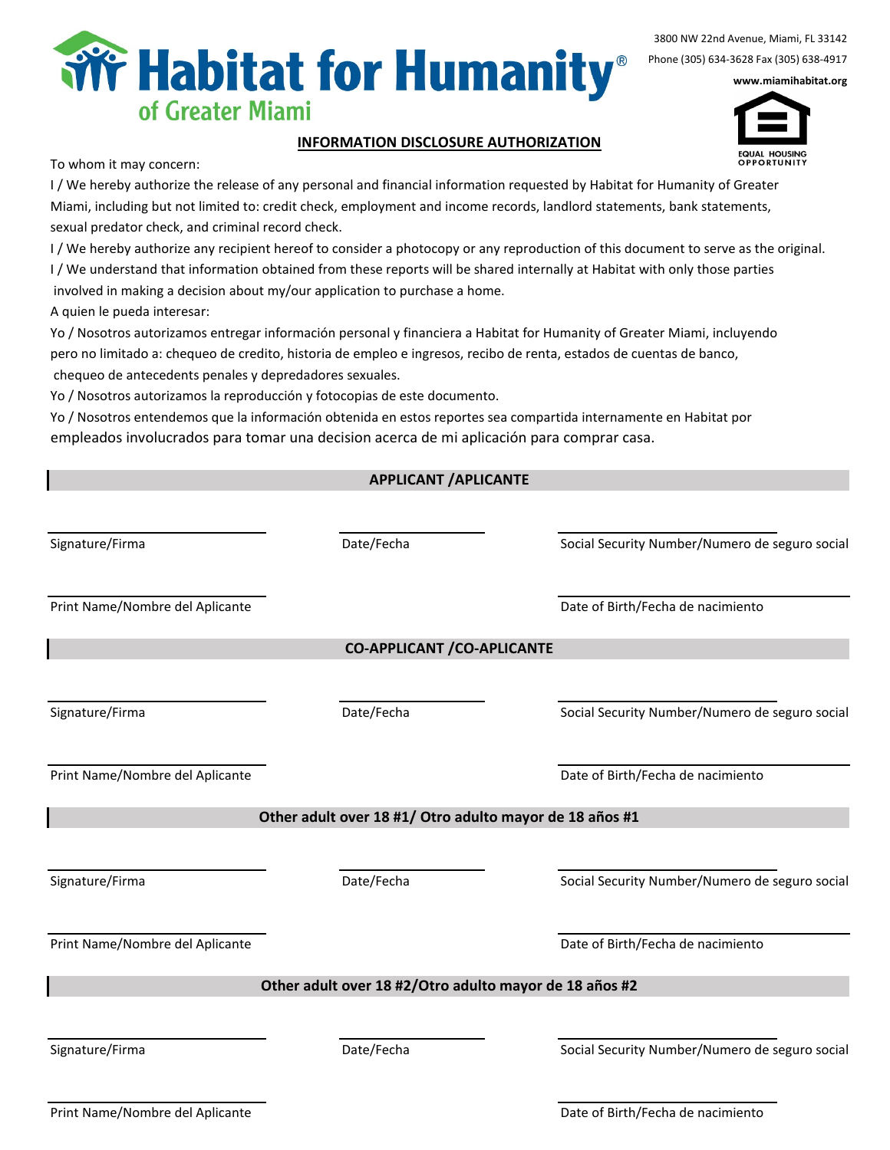

3800 NW 22nd Avenue, Miami, FL 33142 Phone (305) 634-3628 Fax (305) 638-4917

www.miamihabitat.org



## INFORMATION DISCLOSURE AUTHORIZATION

To whom it may concern:

I / We hereby authorize the release of any personal and financial information requested by Habitat for Humanity of Greater Miami, including but not limited to: credit check, employment and income records, landlord statements, bank statements, sexual predator check, and criminal record check.

I / We hereby authorize any recipient hereof to consider a photocopy or any reproduction of this document to serve as the original. I / We understand that information obtained from these reports will be shared internally at Habitat with only those parties involved in making a decision about my/our application to purchase a home.

A quien le pueda interesar:

Yo / Nosotros autorizamos entregar información personal y financiera a Habitat for Humanity of Greater Miami, incluyendo pero no limitado a: chequeo de credito, historia de empleo e ingresos, recibo de renta, estados de cuentas de banco, chequeo de antecedents penales y depredadores sexuales.

Yo / Nosotros autorizamos la reproducción y fotocopias de este documento.

Yo / Nosotros entendemos que la información obtenida en estos reportes sea compartida internamente en Habitat por empleados involucrados para tomar una decision acerca de mi aplicación para comprar casa.

## APPLICANT /APLICANTE

| Signature/Firma                 | Date/Fecha                                              | Social Security Number/Numero de seguro social |
|---------------------------------|---------------------------------------------------------|------------------------------------------------|
| Print Name/Nombre del Aplicante |                                                         | Date of Birth/Fecha de nacimiento              |
|                                 | <b>CO-APPLICANT / CO-APLICANTE</b>                      |                                                |
| Signature/Firma                 | Date/Fecha                                              | Social Security Number/Numero de seguro social |
| Print Name/Nombre del Aplicante |                                                         | Date of Birth/Fecha de nacimiento              |
|                                 | Other adult over 18 #1/ Otro adulto mayor de 18 años #1 |                                                |
| Signature/Firma                 | Date/Fecha                                              | Social Security Number/Numero de seguro social |
| Print Name/Nombre del Aplicante |                                                         | Date of Birth/Fecha de nacimiento              |
|                                 | Other adult over 18 #2/Otro adulto mayor de 18 años #2  |                                                |
| Signature/Firma                 | Date/Fecha                                              | Social Security Number/Numero de seguro social |
|                                 |                                                         |                                                |